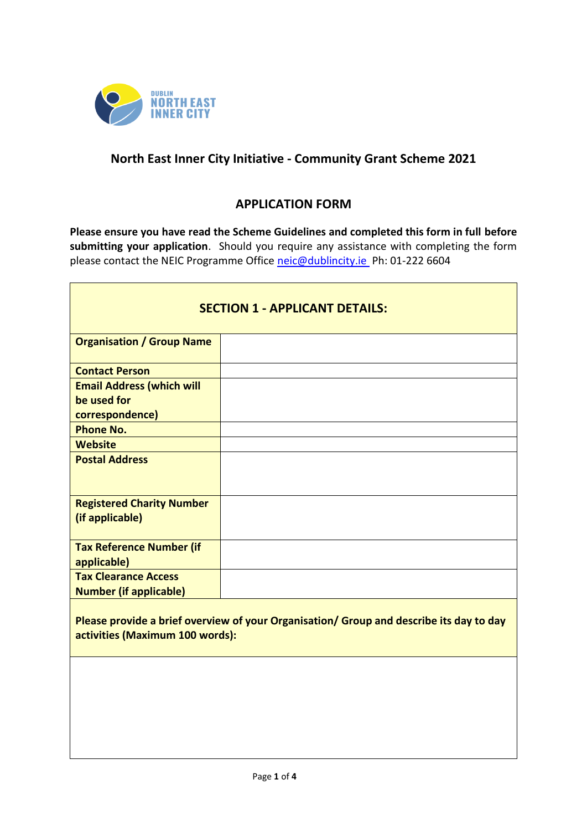

## **North East Inner City Initiative - Community Grant Scheme 2021**

### **APPLICATION FORM**

**Please ensure you have read the Scheme Guidelines and completed this form in full before submitting your application**. Should you require any assistance with completing the form please contact the NEIC Programme Office [neic@dublincity.ie](mailto:neic@dublincity.ie) Ph: 01-222 6604

|                                                              | <b>SECTION 1 - APPLICANT DETAILS:</b> |
|--------------------------------------------------------------|---------------------------------------|
| <b>Organisation / Group Name</b>                             |                                       |
| <b>Contact Person</b>                                        |                                       |
| <b>Email Address (which will</b>                             |                                       |
| be used for                                                  |                                       |
| correspondence)                                              |                                       |
| <b>Phone No.</b>                                             |                                       |
| <b>Website</b>                                               |                                       |
| <b>Postal Address</b>                                        |                                       |
| <b>Registered Charity Number</b><br>(if applicable)          |                                       |
| <b>Tax Reference Number (if</b><br>applicable)               |                                       |
| <b>Tax Clearance Access</b><br><b>Number (if applicable)</b> |                                       |
|                                                              |                                       |

**Please provide a brief overview of your Organisation/ Group and describe its day to day activities (Maximum 100 words):**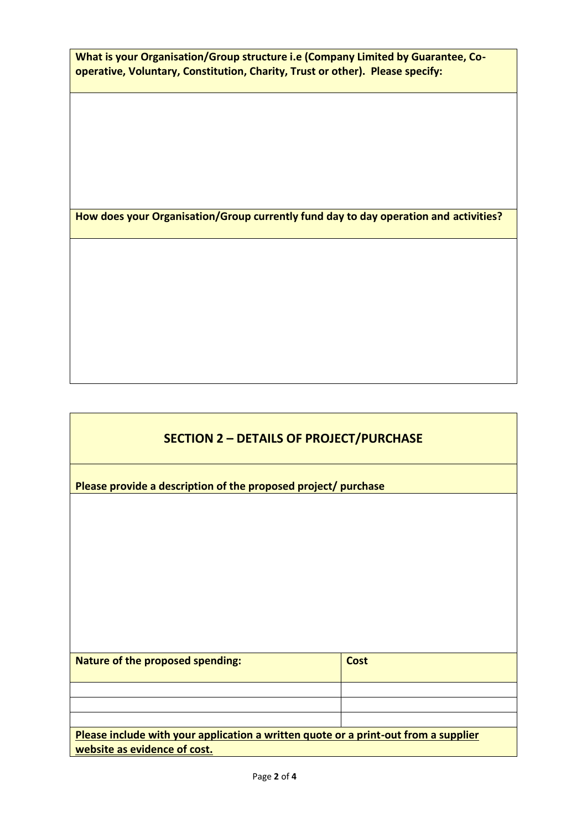**What is your Organisation/Group structure i.e (Company Limited by Guarantee, Cooperative, Voluntary, Constitution, Charity, Trust or other). Please specify:**

**How does your Organisation/Group currently fund day to day operation and activities?**

# **SECTION 2 – DETAILS OF PROJECT/PURCHASE**

**Please provide a description of the proposed project/ purchase** 

| <b>Nature of the proposed spending:</b>                                                                             | <b>Cost</b> |
|---------------------------------------------------------------------------------------------------------------------|-------------|
|                                                                                                                     |             |
|                                                                                                                     |             |
|                                                                                                                     |             |
| Please include with your application a written quote or a print-out from a supplier<br>website as evidence of cost. |             |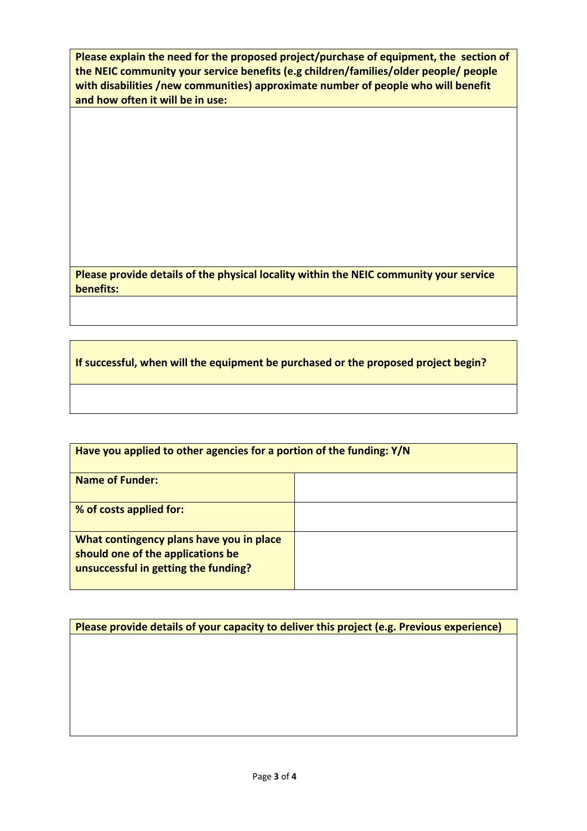**Please explain the need for the proposed project/purchase of equipment, the section of the NEIC community your service benefits (e.g children/families/older people/ people with disabilities /new communities) approximate number of people who will benefit and how often it will be in use:**

**Please provide details of the physical locality within the NEIC community your service benefits:**

**If successful, when will the equipment be purchased or the proposed project begin?**

| Have you applied to other agencies for a portion of the funding: Y/N                                                  |  |
|-----------------------------------------------------------------------------------------------------------------------|--|
| <b>Name of Funder:</b>                                                                                                |  |
| % of costs applied for:                                                                                               |  |
| What contingency plans have you in place<br>should one of the applications be<br>unsuccessful in getting the funding? |  |

**Please provide details of your capacity to deliver this project (e.g. Previous experience)**